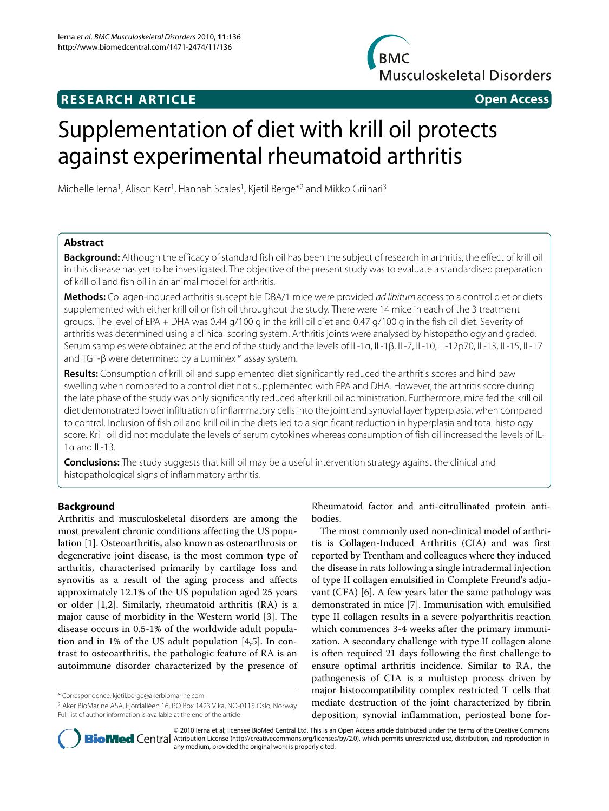## **BMC Musculoskeletal Disorders**

## **RESEARCH ARTICLE Open Access**

# Supplementation of diet with krill oil protects against experimental rheumatoid arthritis

Michelle Ierna<sup>1</sup>, Alison Kerr<sup>1</sup>, Hannah Scales<sup>1</sup>, Kjetil Berge<sup>\*2</sup> and Mikko Griinari<sup>3</sup>

## **Abstract**

**Background:** Although the efficacy of standard fish oil has been the subject of research in arthritis, the effect of krill oil in this disease has yet to be investigated. The objective of the present study was to evaluate a standardised preparation of krill oil and fish oil in an animal model for arthritis.

**Methods:** Collagen-induced arthritis susceptible DBA/1 mice were provided ad libitum access to a control diet or diets supplemented with either krill oil or fish oil throughout the study. There were 14 mice in each of the 3 treatment groups. The level of EPA + DHA was 0.44 g/100 g in the krill oil diet and 0.47 g/100 g in the fish oil diet. Severity of arthritis was determined using a clinical scoring system. Arthritis joints were analysed by histopathology and graded. Serum samples were obtained at the end of the study and the levels of IL-1α, IL-1β, IL-7, IL-10, IL-12p70, IL-13, IL-15, IL-17 and TGF-β were determined by a Luminex™ assay system.

**Results:** Consumption of krill oil and supplemented diet significantly reduced the arthritis scores and hind paw swelling when compared to a control diet not supplemented with EPA and DHA. However, the arthritis score during the late phase of the study was only significantly reduced after krill oil administration. Furthermore, mice fed the krill oil diet demonstrated lower infiltration of inflammatory cells into the joint and synovial layer hyperplasia, when compared to control. Inclusion of fish oil and krill oil in the diets led to a significant reduction in hyperplasia and total histology score. Krill oil did not modulate the levels of serum cytokines whereas consumption of fish oil increased the levels of IL-1α and IL-13.

**Conclusions:** The study suggests that krill oil may be a useful intervention strategy against the clinical and histopathological signs of inflammatory arthritis.

## **Background**

Arthritis and musculoskeletal disorders are among the most prevalent chronic conditions affecting the US population [[1\]](#page-9-0). Osteoarthritis, also known as osteoarthrosis or degenerative joint disease, is the most common type of arthritis, characterised primarily by cartilage loss and synovitis as a result of the aging process and affects approximately 12.1% of the US population aged 25 years or older [\[1](#page-9-0)[,2](#page-9-1)]. Similarly, rheumatoid arthritis (RA) is a major cause of morbidity in the Western world [[3\]](#page-9-2). The disease occurs in 0.5-1% of the worldwide adult population and in 1% of the US adult population [\[4](#page-9-3)[,5](#page-9-4)]. In contrast to osteoarthritis, the pathologic feature of RA is an autoimmune disorder characterized by the presence of Rheumatoid factor and anti-citrullinated protein antibodies.

The most commonly used non-clinical model of arthritis is Collagen-Induced Arthritis (CIA) and was first reported by Trentham and colleagues where they induced the disease in rats following a single intradermal injection of type II collagen emulsified in Complete Freund's adjuvant (CFA) [\[6\]](#page-9-5). A few years later the same pathology was demonstrated in mice [\[7](#page-9-6)]. Immunisation with emulsified type II collagen results in a severe polyarthritis reaction which commences 3-4 weeks after the primary immunization. A secondary challenge with type II collagen alone is often required 21 days following the first challenge to ensure optimal arthritis incidence. Similar to RA, the pathogenesis of CIA is a multistep process driven by major histocompatibility complex restricted T cells that mediate destruction of the joint characterized by fibrin deposition, synovial inflammation, periosteal bone for-



© 2010 Ierna et al; licensee BioMed Central Ltd. This is an Open Access article distributed under the terms of the Creative Commons **BioMed** Central Attribution License (http://creativecommons.org/licenses/by/2.0), which permits unrestricted use, distribution, and reproduction in any medium, provided the original work is properly cited.

<sup>\*</sup> Correspondence: kjetil.berge@akerbiomarine.com

<sup>2</sup> Aker BioMarine ASA, Fjordallèen 16, P.O Box 1423 Vika, NO-0115 Oslo, Norway Full list of author information is available at the end of the article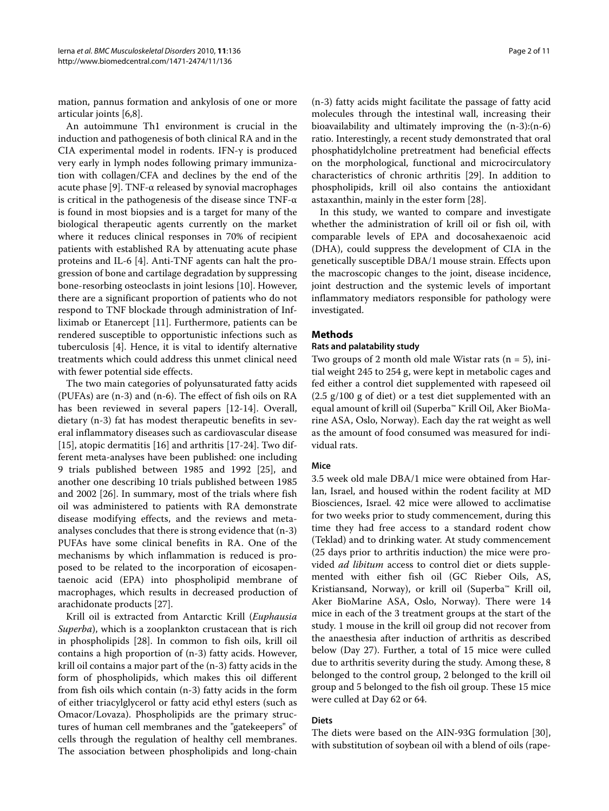mation, pannus formation and ankylosis of one or more articular joints [\[6](#page-9-5)[,8](#page-9-7)].

An autoimmune Th1 environment is crucial in the induction and pathogenesis of both clinical RA and in the CIA experimental model in rodents. IFN-γ is produced very early in lymph nodes following primary immunization with collagen/CFA and declines by the end of the acute phase [[9\]](#page-9-8). TNF- $\alpha$  released by synovial macrophages is critical in the pathogenesis of the disease since TNF-α is found in most biopsies and is a target for many of the biological therapeutic agents currently on the market where it reduces clinical responses in 70% of recipient patients with established RA by attenuating acute phase proteins and IL-6 [[4\]](#page-9-3). Anti-TNF agents can halt the progression of bone and cartilage degradation by suppressing bone-resorbing osteoclasts in joint lesions [\[10](#page-9-9)]. However, there are a significant proportion of patients who do not respond to TNF blockade through administration of Infliximab or Etanercept [\[11](#page-9-10)]. Furthermore, patients can be rendered susceptible to opportunistic infections such as tuberculosis [\[4](#page-9-3)]. Hence, it is vital to identify alternative treatments which could address this unmet clinical need with fewer potential side effects.

The two main categories of polyunsaturated fatty acids (PUFAs) are (n-3) and (n-6). The effect of fish oils on RA has been reviewed in several papers [\[12](#page-9-11)-[14\]](#page-9-12). Overall, dietary (n-3) fat has modest therapeutic benefits in several inflammatory diseases such as cardiovascular disease [[15\]](#page-9-13), atopic dermatitis [[16](#page-9-14)] and arthritis [[17](#page-9-15)[-24\]](#page-9-16). Two different meta-analyses have been published: one including 9 trials published between 1985 and 1992 [\[25](#page-9-17)], and another one describing 10 trials published between 1985 and 2002 [[26](#page-9-18)]. In summary, most of the trials where fish oil was administered to patients with RA demonstrate disease modifying effects, and the reviews and metaanalyses concludes that there is strong evidence that (n-3) PUFAs have some clinical benefits in RA. One of the mechanisms by which inflammation is reduced is proposed to be related to the incorporation of eicosapentaenoic acid (EPA) into phospholipid membrane of macrophages, which results in decreased production of arachidonate products [[27\]](#page-9-19).

Krill oil is extracted from Antarctic Krill (Euphausia Superba), which is a zooplankton crustacean that is rich in phospholipids [[28\]](#page-9-20). In common to fish oils, krill oil contains a high proportion of (n-3) fatty acids. However, krill oil contains a major part of the (n-3) fatty acids in the form of phospholipids, which makes this oil different from fish oils which contain (n-3) fatty acids in the form of either triacylglycerol or fatty acid ethyl esters (such as Omacor/Lovaza). Phospholipids are the primary structures of human cell membranes and the "gatekeepers" of cells through the regulation of healthy cell membranes. The association between phospholipids and long-chain

(n-3) fatty acids might facilitate the passage of fatty acid molecules through the intestinal wall, increasing their bioavailability and ultimately improving the (n-3):(n-6) ratio. Interestingly, a recent study demonstrated that oral phosphatidylcholine pretreatment had beneficial effects on the morphological, functional and microcirculatory characteristics of chronic arthritis [\[29\]](#page-9-21). In addition to phospholipids, krill oil also contains the antioxidant astaxanthin, mainly in the ester form [\[28](#page-9-20)].

In this study, we wanted to compare and investigate whether the administration of krill oil or fish oil, with comparable levels of EPA and docosahexaenoic acid (DHA), could suppress the development of CIA in the genetically susceptible DBA/1 mouse strain. Effects upon the macroscopic changes to the joint, disease incidence, joint destruction and the systemic levels of important inflammatory mediators responsible for pathology were investigated.

### **Methods**

### **Rats and palatability study**

Two groups of 2 month old male Wistar rats  $(n = 5)$ , initial weight 245 to 254 g, were kept in metabolic cages and fed either a control diet supplemented with rapeseed oil  $(2.5 \text{ g}/100 \text{ g of diet})$  or a test diet supplemented with an equal amount of krill oil (Superba™ Krill Oil, Aker BioMarine ASA, Oslo, Norway). Each day the rat weight as well as the amount of food consumed was measured for individual rats.

#### **Mice**

3.5 week old male DBA/1 mice were obtained from Harlan, Israel, and housed within the rodent facility at MD Biosciences, Israel. 42 mice were allowed to acclimatise for two weeks prior to study commencement, during this time they had free access to a standard rodent chow (Teklad) and to drinking water. At study commencement (25 days prior to arthritis induction) the mice were provided ad libitum access to control diet or diets supplemented with either fish oil (GC Rieber Oils, AS, Kristiansand, Norway), or krill oil (Superba™ Krill oil, Aker BioMarine ASA, Oslo, Norway). There were 14 mice in each of the 3 treatment groups at the start of the study. 1 mouse in the krill oil group did not recover from the anaesthesia after induction of arthritis as described below (Day 27). Further, a total of 15 mice were culled due to arthritis severity during the study. Among these, 8 belonged to the control group, 2 belonged to the krill oil group and 5 belonged to the fish oil group. These 15 mice were culled at Day 62 or 64.

## **Diets**

The diets were based on the AIN-93G formulation [\[30](#page-9-22)], with substitution of soybean oil with a blend of oils (rape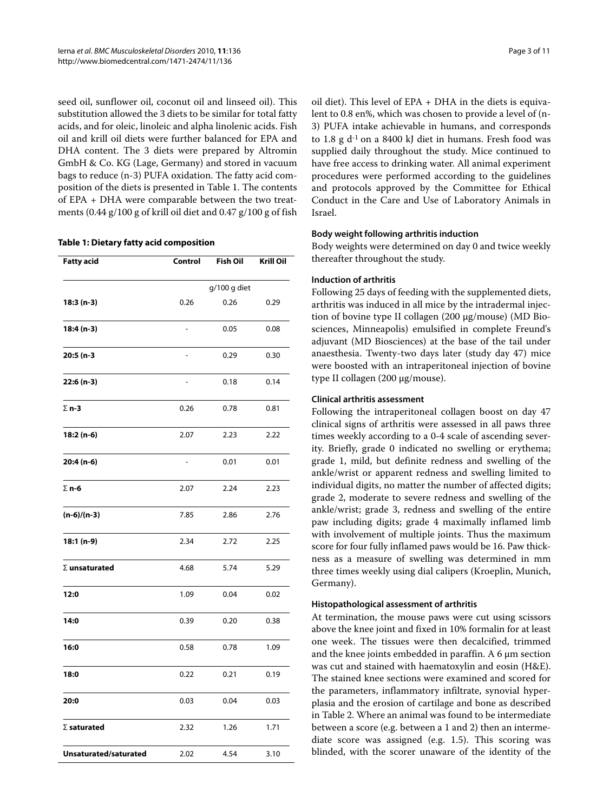seed oil, sunflower oil, coconut oil and linseed oil). This substitution allowed the 3 diets to be similar for total fatty acids, and for oleic, linoleic and alpha linolenic acids. Fish oil and krill oil diets were further balanced for EPA and DHA content. The 3 diets were prepared by Altromin GmbH & Co. KG (Lage, Germany) and stored in vacuum bags to reduce (n-3) PUFA oxidation. The fatty acid composition of the diets is presented in Table 1. The contents of EPA + DHA were comparable between the two treatments (0.44 g/100 g of krill oil diet and 0.47 g/100 g of fish

#### **Table 1: Dietary fatty acid composition**

| <b>Fatty acid</b>     | Control                  | <b>Fish Oil</b> | <b>Krill Oil</b> |  |  |
|-----------------------|--------------------------|-----------------|------------------|--|--|
|                       |                          | g/100 g diet    |                  |  |  |
| 18:3 (n-3)            | 0.26                     | 0.26            | 0.29             |  |  |
| 18:4 (n-3)            | $\overline{a}$           | 0.05            | 0.08             |  |  |
| 20:5 (n-3             | $\overline{\phantom{0}}$ | 0.29            | 0.30             |  |  |
| 22:6 (n-3)            | $\overline{a}$           | 0.18            | 0.14             |  |  |
| $\Sigma$ n-3          | 0.26                     | 0.78            | 0.81             |  |  |
| 18:2 (n-6)            | 2.07                     | 2.23            | 2.22             |  |  |
| 20:4 (n-6)            | $\overline{a}$           | 0.01            | 0.01             |  |  |
| $\Sigma$ n-6          | 2.07                     | 2.24            | 2.23             |  |  |
| $(n-6)/(n-3)$         | 7.85                     | 2.86            | 2.76             |  |  |
| 18:1 (n-9)            | 2.34                     | 2.72            | 2.25             |  |  |
| $\Sigma$ unsaturated  | 4.68                     | 5.74            | 5.29             |  |  |
| 12:0                  | 1.09                     | 0.04            | 0.02             |  |  |
| 14:0                  | 0.39                     | 0.20            | 0.38             |  |  |
| 16:0                  | 0.58                     | 0.78            | 1.09             |  |  |
| 18:0                  | 0.22                     | 0.21            | 0.19             |  |  |
| 20:0                  | 0.03                     | 0.04            | 0.03             |  |  |
| $\Sigma$ saturated    | 2.32                     | 1.26            | 1.71             |  |  |
| Unsaturated/saturated | 2.02                     | 4.54            | 3.10             |  |  |

oil diet). This level of EPA + DHA in the diets is equivalent to 0.8 en%, which was chosen to provide a level of (n-3) PUFA intake achievable in humans, and corresponds to 1.8 g d-1 on a 8400 kJ diet in humans. Fresh food was supplied daily throughout the study. Mice continued to have free access to drinking water. All animal experiment procedures were performed according to the guidelines and protocols approved by the Committee for Ethical Conduct in the Care and Use of Laboratory Animals in Israel.

#### **Body weight following arthritis induction**

Body weights were determined on day 0 and twice weekly thereafter throughout the study.

## **Induction of arthritis**

Following 25 days of feeding with the supplemented diets, arthritis was induced in all mice by the intradermal injection of bovine type II collagen (200 μg/mouse) (MD Biosciences, Minneapolis) emulsified in complete Freund's adjuvant (MD Biosciences) at the base of the tail under anaesthesia. Twenty-two days later (study day 47) mice were boosted with an intraperitoneal injection of bovine type II collagen (200 μg/mouse).

## **Clinical arthritis assessment**

Following the intraperitoneal collagen boost on day 47 clinical signs of arthritis were assessed in all paws three times weekly according to a 0-4 scale of ascending severity. Briefly, grade 0 indicated no swelling or erythema; grade 1, mild, but definite redness and swelling of the ankle/wrist or apparent redness and swelling limited to individual digits, no matter the number of affected digits; grade 2, moderate to severe redness and swelling of the ankle/wrist; grade 3, redness and swelling of the entire paw including digits; grade 4 maximally inflamed limb with involvement of multiple joints. Thus the maximum score for four fully inflamed paws would be 16. Paw thickness as a measure of swelling was determined in mm three times weekly using dial calipers (Kroeplin, Munich, Germany).

## **Histopathological assessment of arthritis**

At termination, the mouse paws were cut using scissors above the knee joint and fixed in 10% formalin for at least one week. The tissues were then decalcified, trimmed and the knee joints embedded in paraffin. A 6 μm section was cut and stained with haematoxylin and eosin (H&E). The stained knee sections were examined and scored for the parameters, inflammatory infiltrate, synovial hyperplasia and the erosion of cartilage and bone as described in Table 2. Where an animal was found to be intermediate between a score (e.g. between a 1 and 2) then an intermediate score was assigned (e.g. 1.5). This scoring was blinded, with the scorer unaware of the identity of the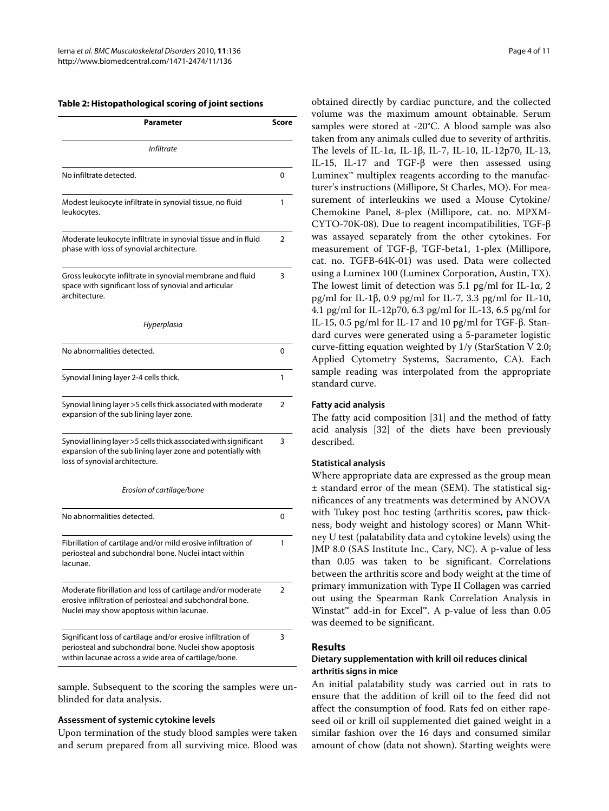#### **Table 2: Histopathological scoring of joint sections**

| Parameter                                                                                                                                                                      |   |  |  |
|--------------------------------------------------------------------------------------------------------------------------------------------------------------------------------|---|--|--|
| <i>Infiltrate</i>                                                                                                                                                              |   |  |  |
| No infiltrate detected.                                                                                                                                                        |   |  |  |
| Modest leukocyte infiltrate in synovial tissue, no fluid<br>leukocytes.                                                                                                        |   |  |  |
| Moderate leukocyte infiltrate in synovial tissue and in fluid<br>phase with loss of synovial architecture.                                                                     |   |  |  |
| Gross leukocyte infiltrate in synovial membrane and fluid<br>space with significant loss of synovial and articular<br>architecture.                                            |   |  |  |
| Hyperplasia                                                                                                                                                                    |   |  |  |
| No abnormalities detected.                                                                                                                                                     | 0 |  |  |
| Synovial lining layer 2-4 cells thick.                                                                                                                                         |   |  |  |
| Synovial lining layer >5 cells thick associated with moderate<br>expansion of the sub lining layer zone.                                                                       |   |  |  |
| Synovial lining layer >5 cells thick associated with significant<br>expansion of the sub lining layer zone and potentially with<br>loss of synovial architecture.              |   |  |  |
| Erosion of cartilage/bone                                                                                                                                                      |   |  |  |
| No abnormalities detected.                                                                                                                                                     |   |  |  |
| Fibrillation of cartilage and/or mild erosive infiltration of<br>periosteal and subchondral bone. Nuclei intact within<br>lacunae.                                             |   |  |  |
| Moderate fibrillation and loss of cartilage and/or moderate<br>erosive infiltration of periosteal and subchondral bone.<br>Nuclei may show apoptosis within lacunae.           |   |  |  |
| Significant loss of cartilage and/or erosive infiltration of<br>periosteal and subchondral bone. Nuclei show apoptosis<br>within lacunae across a wide area of cartilage/bone. |   |  |  |

sample. Subsequent to the scoring the samples were unblinded for data analysis.

#### **Assessment of systemic cytokine levels**

Upon termination of the study blood samples were taken and serum prepared from all surviving mice. Blood was

obtained directly by cardiac puncture, and the collected volume was the maximum amount obtainable. Serum samples were stored at -20°C. A blood sample was also taken from any animals culled due to severity of arthritis. The levels of IL-1α, IL-1β, IL-7, IL-10, IL-12p70, IL-13, IL-15, IL-17 and TGF-β were then assessed using Luminex<sup> $<sub>m</sub>$ </sup> multiplex reagents according to the manufac-</sup></sub> turer's instructions (Millipore, St Charles, MO). For measurement of interleukins we used a Mouse Cytokine/ Chemokine Panel, 8-plex (Millipore, cat. no. MPXM-CYTO-70K-08). Due to reagent incompatibilities, TGF-β was assayed separately from the other cytokines. For measurement of TGF-β, TGF-beta1, 1-plex (Millipore, cat. no. TGFB-64K-01) was used. Data were collected using a Luminex 100 (Luminex Corporation, Austin, TX). The lowest limit of detection was 5.1 pg/ml for IL-1 $\alpha$ , 2 pg/ml for IL-1β, 0.9 pg/ml for IL-7, 3.3 pg/ml for IL-10, 4.1 pg/ml for IL-12p70, 6.3 pg/ml for IL-13, 6.5 pg/ml for IL-15, 0.5 pg/ml for IL-17 and 10 pg/ml for TGF-β. Standard curves were generated using a 5-parameter logistic curve-fitting equation weighted by 1/y (StarStation V 2.0; Applied Cytometry Systems, Sacramento, CA). Each sample reading was interpolated from the appropriate standard curve.

#### **Fatty acid analysis**

The fatty acid composition [\[31](#page-9-23)] and the method of fatty acid analysis [\[32](#page-9-24)] of the diets have been previously described.

#### **Statistical analysis**

Where appropriate data are expressed as the group mean ± standard error of the mean (SEM). The statistical significances of any treatments was determined by ANOVA with Tukey post hoc testing (arthritis scores, paw thickness, body weight and histology scores) or Mann Whitney U test (palatability data and cytokine levels) using the JMP 8.0 (SAS Institute Inc., Cary, NC). A p-value of less than 0.05 was taken to be significant. Correlations between the arthritis score and body weight at the time of primary immunization with Type II Collagen was carried out using the Spearman Rank Correlation Analysis in Winstat™ add-in for Excel™. A p-value of less than 0.05 was deemed to be significant.

#### **Results**

### **Dietary supplementation with krill oil reduces clinical arthritis signs in mice**

An initial palatability study was carried out in rats to ensure that the addition of krill oil to the feed did not affect the consumption of food. Rats fed on either rapeseed oil or krill oil supplemented diet gained weight in a similar fashion over the 16 days and consumed similar amount of chow (data not shown). Starting weights were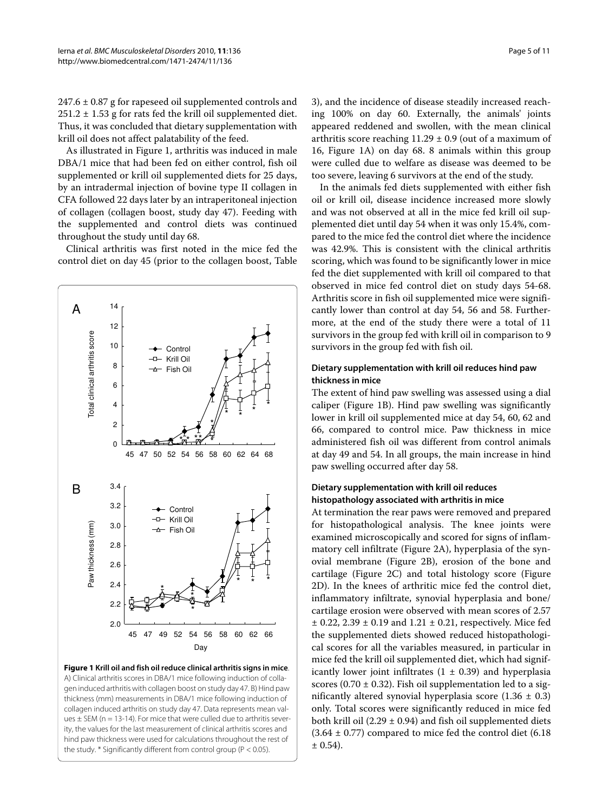$247.6 \pm 0.87$  g for rapeseed oil supplemented controls and  $251.2 \pm 1.53$  g for rats fed the krill oil supplemented diet. Thus, it was concluded that dietary supplementation with krill oil does not affect palatability of the feed.

As illustrated in Figure [1](#page-4-0), arthritis was induced in male DBA/1 mice that had been fed on either control, fish oil supplemented or krill oil supplemented diets for 25 days, by an intradermal injection of bovine type II collagen in CFA followed 22 days later by an intraperitoneal injection of collagen (collagen boost, study day 47). Feeding with the supplemented and control diets was continued throughout the study until day 68.

Clinical arthritis was first noted in the mice fed the control diet on day 45 (prior to the collagen boost, Table

<span id="page-4-0"></span>

**Figure 1 Krill oil and fish oil reduce clinical arthritis signs in mice**. A) Clinical arthritis scores in DBA/1 mice following induction of collagen induced arthritis with collagen boost on study day 47. B) Hind paw thickness (mm) measurements in DBA/1 mice following induction of collagen induced arthritis on study day 47. Data represents mean values  $\pm$  SEM (n = 13-14). For mice that were culled due to arthritis severity, the values for the last measurement of clinical arthritis scores and hind paw thickness were used for calculations throughout the rest of the study.  $*$  Significantly different from control group ( $P < 0.05$ ).

3), and the incidence of disease steadily increased reaching 100% on day 60. Externally, the animals' joints appeared reddened and swollen, with the mean clinical arthritis score reaching  $11.29 \pm 0.9$  (out of a maximum of 16, Figure [1](#page-4-0)A) on day 68. 8 animals within this group were culled due to welfare as disease was deemed to be too severe, leaving 6 survivors at the end of the study.

In the animals fed diets supplemented with either fish oil or krill oil, disease incidence increased more slowly and was not observed at all in the mice fed krill oil supplemented diet until day 54 when it was only 15.4%, compared to the mice fed the control diet where the incidence was 42.9%. This is consistent with the clinical arthritis scoring, which was found to be significantly lower in mice fed the diet supplemented with krill oil compared to that observed in mice fed control diet on study days 54-68. Arthritis score in fish oil supplemented mice were significantly lower than control at day 54, 56 and 58. Furthermore, at the end of the study there were a total of 11 survivors in the group fed with krill oil in comparison to 9 survivors in the group fed with fish oil.

## **Dietary supplementation with krill oil reduces hind paw thickness in mice**

The extent of hind paw swelling was assessed using a dial caliper (Figure [1B](#page-4-0)). Hind paw swelling was significantly lower in krill oil supplemented mice at day 54, 60, 62 and 66, compared to control mice. Paw thickness in mice administered fish oil was different from control animals at day 49 and 54. In all groups, the main increase in hind paw swelling occurred after day 58.

## **Dietary supplementation with krill oil reduces histopathology associated with arthritis in mice**

At termination the rear paws were removed and prepared for histopathological analysis. The knee joints were examined microscopically and scored for signs of inflammatory cell infiltrate (Figure [2A](#page-6-0)), hyperplasia of the synovial membrane (Figure [2B](#page-6-0)), erosion of the bone and cartilage (Figure [2](#page-6-0)C) and total histology score (Figure [2D](#page-6-0)). In the knees of arthritic mice fed the control diet, inflammatory infiltrate, synovial hyperplasia and bone/ cartilage erosion were observed with mean scores of 2.57  $\pm$  0.22, 2.39  $\pm$  0.19 and 1.21  $\pm$  0.21, respectively. Mice fed the supplemented diets showed reduced histopathological scores for all the variables measured, in particular in mice fed the krill oil supplemented diet, which had significantly lower joint infiltrates  $(1 \pm 0.39)$  and hyperplasia scores (0.70  $\pm$  0.32). Fish oil supplementation led to a significantly altered synovial hyperplasia score  $(1.36 \pm 0.3)$ only. Total scores were significantly reduced in mice fed both krill oil (2.29  $\pm$  0.94) and fish oil supplemented diets  $(3.64 \pm 0.77)$  compared to mice fed the control diet  $(6.18)$  $± 0.54$ ).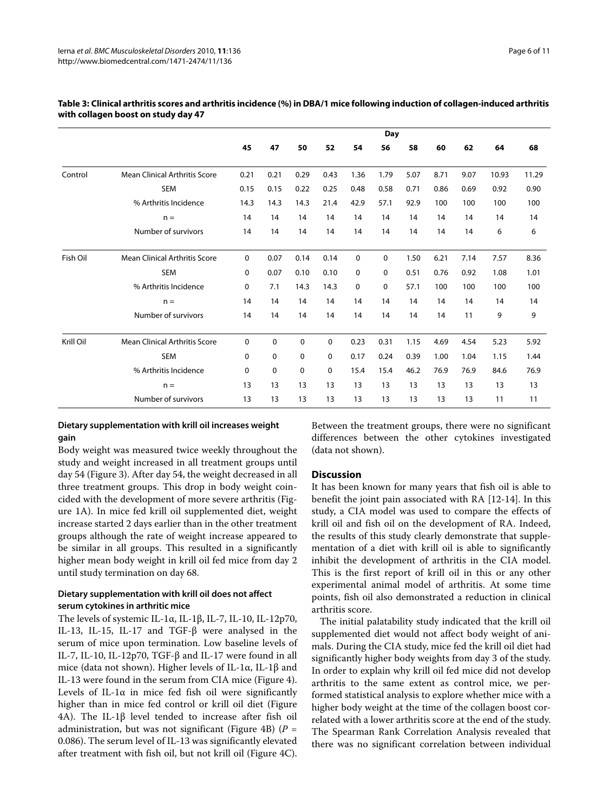|           |                                      | Day  |             |             |      |             |             |      |      |      |       |       |
|-----------|--------------------------------------|------|-------------|-------------|------|-------------|-------------|------|------|------|-------|-------|
|           |                                      | 45   | 47          | 50          | 52   | 54          | 56          | 58   | 60   | 62   | 64    | 68    |
| Control   | <b>Mean Clinical Arthritis Score</b> | 0.21 | 0.21        | 0.29        | 0.43 | 1.36        | 1.79        | 5.07 | 8.71 | 9.07 | 10.93 | 11.29 |
|           | <b>SEM</b>                           | 0.15 | 0.15        | 0.22        | 0.25 | 0.48        | 0.58        | 0.71 | 0.86 | 0.69 | 0.92  | 0.90  |
|           | % Arthritis Incidence                | 14.3 | 14.3        | 14.3        | 21.4 | 42.9        | 57.1        | 92.9 | 100  | 100  | 100   | 100   |
|           | $n =$                                | 14   | 14          | 14          | 14   | 14          | 14          | 14   | 14   | 14   | 14    | 14    |
|           | Number of survivors                  | 14   | 14          | 14          | 14   | 14          | 14          | 14   | 14   | 14   | 6     | 6     |
| Fish Oil  | <b>Mean Clinical Arthritis Score</b> | 0    | 0.07        | 0.14        | 0.14 | $\mathbf 0$ | $\mathbf 0$ | 1.50 | 6.21 | 7.14 | 7.57  | 8.36  |
|           | <b>SEM</b>                           | 0    | 0.07        | 0.10        | 0.10 | 0           | 0           | 0.51 | 0.76 | 0.92 | 1.08  | 1.01  |
|           | % Arthritis Incidence                | 0    | 7.1         | 14.3        | 14.3 | $\mathbf 0$ | 0           | 57.1 | 100  | 100  | 100   | 100   |
|           | $n =$                                | 14   | 14          | 14          | 14   | 14          | 14          | 14   | 14   | 14   | 14    | 14    |
|           | Number of survivors                  | 14   | 14          | 14          | 14   | 14          | 14          | 14   | 14   | 11   | 9     | 9     |
| Krill Oil | <b>Mean Clinical Arthritis Score</b> | 0    | 0           | $\mathbf 0$ | 0    | 0.23        | 0.31        | 1.15 | 4.69 | 4.54 | 5.23  | 5.92  |
|           | <b>SEM</b>                           | 0    | 0           | 0           | 0    | 0.17        | 0.24        | 0.39 | 1.00 | 1.04 | 1.15  | 1.44  |
|           | % Arthritis Incidence                | 0    | $\mathbf 0$ | 0           | 0    | 15.4        | 15.4        | 46.2 | 76.9 | 76.9 | 84.6  | 76.9  |
|           | $n =$                                | 13   | 13          | 13          | 13   | 13          | 13          | 13   | 13   | 13   | 13    | 13    |
|           | Number of survivors                  | 13   | 13          | 13          | 13   | 13          | 13          | 13   | 13   | 13   | 11    | 11    |

## **Table 3: Clinical arthritis scores and arthritis incidence (%) in DBA/1 mice following induction of collagen-induced arthritis with collagen boost on study day 47**

## **Dietary supplementation with krill oil increases weight gain**

Body weight was measured twice weekly throughout the study and weight increased in all treatment groups until day 54 (Figure [3](#page-7-0)). After day 54, the weight decreased in all three treatment groups. This drop in body weight coincided with the development of more severe arthritis (Figure [1A](#page-4-0)). In mice fed krill oil supplemented diet, weight increase started 2 days earlier than in the other treatment groups although the rate of weight increase appeared to be similar in all groups. This resulted in a significantly higher mean body weight in krill oil fed mice from day 2 until study termination on day 68.

## **Dietary supplementation with krill oil does not affect serum cytokines in arthritic mice**

The levels of systemic IL-1α, IL-1β, IL-7, IL-10, IL-12p70, IL-13, IL-15, IL-17 and TGF-β were analysed in the serum of mice upon termination. Low baseline levels of IL-7, IL-10, IL-12p70, TGF-β and IL-17 were found in all mice (data not shown). Higher levels of IL-1α, IL-1β and IL-13 were found in the serum from CIA mice (Figure [4](#page-8-0)). Levels of IL-1 $\alpha$  in mice fed fish oil were significantly higher than in mice fed control or krill oil diet (Figure [4A](#page-8-0)). The IL-1β level tended to increase after fish oil administration, but was not significant (Figure [4B](#page-8-0)) ( $P =$ 0.086). The serum level of IL-13 was significantly elevated after treatment with fish oil, but not krill oil (Figure [4](#page-8-0)C).

Between the treatment groups, there were no significant differences between the other cytokines investigated (data not shown).

## **Discussion**

It has been known for many years that fish oil is able to benefit the joint pain associated with RA [\[12](#page-9-11)-[14\]](#page-9-12). In this study, a CIA model was used to compare the effects of krill oil and fish oil on the development of RA. Indeed, the results of this study clearly demonstrate that supplementation of a diet with krill oil is able to significantly inhibit the development of arthritis in the CIA model. This is the first report of krill oil in this or any other experimental animal model of arthritis. At some time points, fish oil also demonstrated a reduction in clinical arthritis score.

The initial palatability study indicated that the krill oil supplemented diet would not affect body weight of animals. During the CIA study, mice fed the krill oil diet had significantly higher body weights from day 3 of the study. In order to explain why krill oil fed mice did not develop arthritis to the same extent as control mice, we performed statistical analysis to explore whether mice with a higher body weight at the time of the collagen boost correlated with a lower arthritis score at the end of the study. The Spearman Rank Correlation Analysis revealed that there was no significant correlation between individual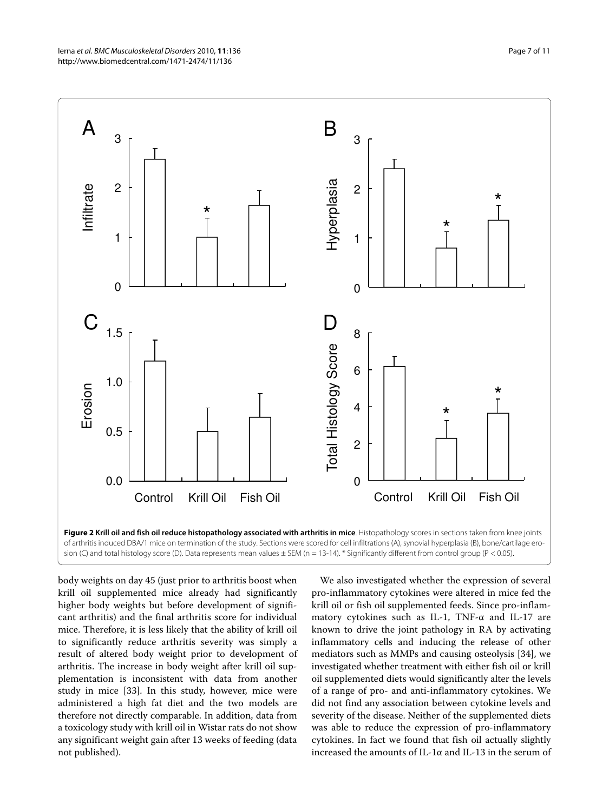<span id="page-6-0"></span>

body weights on day 45 (just prior to arthritis boost when krill oil supplemented mice already had significantly higher body weights but before development of significant arthritis) and the final arthritis score for individual mice. Therefore, it is less likely that the ability of krill oil to significantly reduce arthritis severity was simply a result of altered body weight prior to development of arthritis. The increase in body weight after krill oil supplementation is inconsistent with data from another study in mice [[33\]](#page-9-25). In this study, however, mice were administered a high fat diet and the two models are therefore not directly comparable. In addition, data from a toxicology study with krill oil in Wistar rats do not show any significant weight gain after 13 weeks of feeding (data not published).

We also investigated whether the expression of several pro-inflammatory cytokines were altered in mice fed the krill oil or fish oil supplemented feeds. Since pro-inflammatory cytokines such as IL-1, TNF-α and IL-17 are known to drive the joint pathology in RA by activating inflammatory cells and inducing the release of other mediators such as MMPs and causing osteolysis [\[34\]](#page-9-26), we investigated whether treatment with either fish oil or krill oil supplemented diets would significantly alter the levels of a range of pro- and anti-inflammatory cytokines. We did not find any association between cytokine levels and severity of the disease. Neither of the supplemented diets was able to reduce the expression of pro-inflammatory cytokines. In fact we found that fish oil actually slightly increased the amounts of  $\text{II}-1\alpha$  and  $\text{II}-13$  in the serum of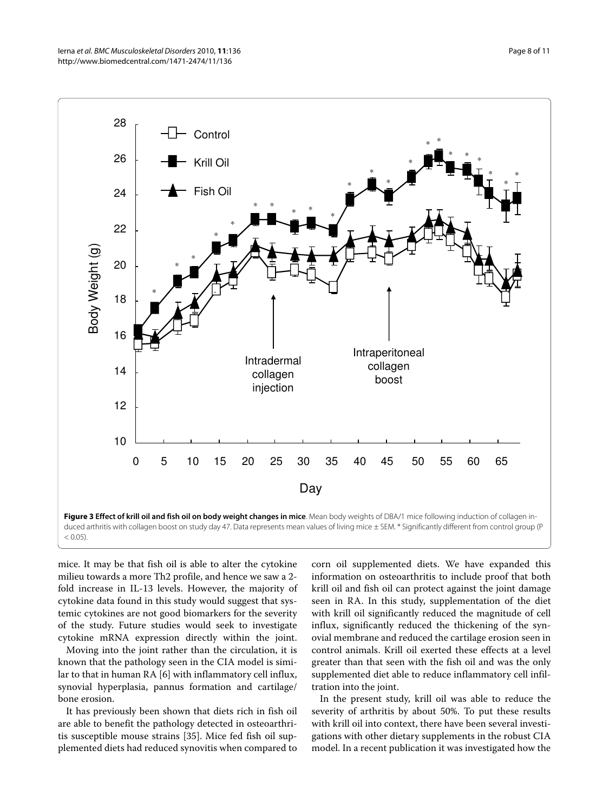<span id="page-7-0"></span>

mice. It may be that fish oil is able to alter the cytokine milieu towards a more Th2 profile, and hence we saw a 2 fold increase in IL-13 levels. However, the majority of cytokine data found in this study would suggest that systemic cytokines are not good biomarkers for the severity of the study. Future studies would seek to investigate cytokine mRNA expression directly within the joint.

Moving into the joint rather than the circulation, it is known that the pathology seen in the CIA model is similar to that in human RA [[6\]](#page-9-5) with inflammatory cell influx, synovial hyperplasia, pannus formation and cartilage/ bone erosion.

It has previously been shown that diets rich in fish oil are able to benefit the pathology detected in osteoarthritis susceptible mouse strains [\[35](#page-10-0)]. Mice fed fish oil supplemented diets had reduced synovitis when compared to

corn oil supplemented diets. We have expanded this information on osteoarthritis to include proof that both krill oil and fish oil can protect against the joint damage seen in RA. In this study, supplementation of the diet with krill oil significantly reduced the magnitude of cell influx, significantly reduced the thickening of the synovial membrane and reduced the cartilage erosion seen in control animals. Krill oil exerted these effects at a level greater than that seen with the fish oil and was the only supplemented diet able to reduce inflammatory cell infiltration into the joint.

In the present study, krill oil was able to reduce the severity of arthritis by about 50%. To put these results with krill oil into context, there have been several investigations with other dietary supplements in the robust CIA model. In a recent publication it was investigated how the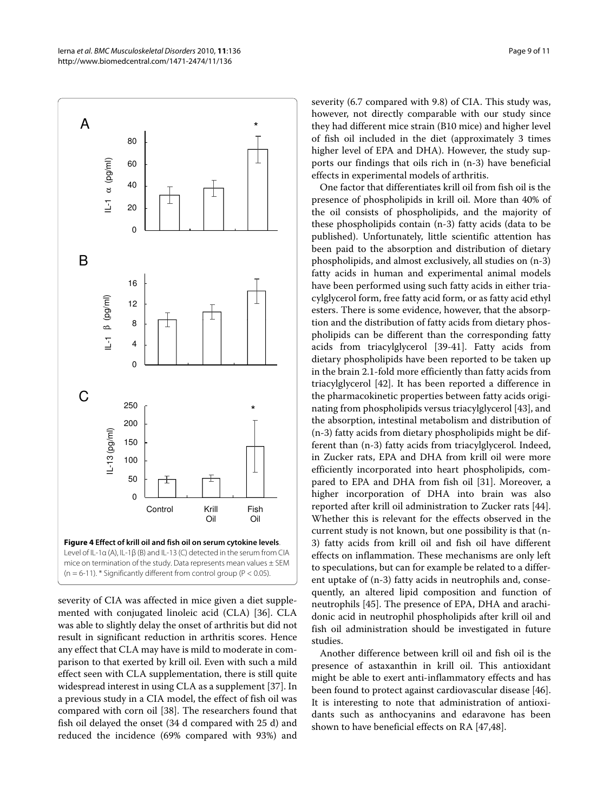<span id="page-8-0"></span>

severity of CIA was affected in mice given a diet supplemented with conjugated linoleic acid (CLA) [\[36](#page-10-1)]. CLA was able to slightly delay the onset of arthritis but did not result in significant reduction in arthritis scores. Hence any effect that CLA may have is mild to moderate in comparison to that exerted by krill oil. Even with such a mild effect seen with CLA supplementation, there is still quite widespread interest in using CLA as a supplement [\[37](#page-10-2)]. In a previous study in a CIA model, the effect of fish oil was compared with corn oil [\[38](#page-10-3)]. The researchers found that fish oil delayed the onset (34 d compared with 25 d) and reduced the incidence (69% compared with 93%) and severity (6.7 compared with 9.8) of CIA. This study was, however, not directly comparable with our study since they had different mice strain (B10 mice) and higher level of fish oil included in the diet (approximately 3 times higher level of EPA and DHA). However, the study supports our findings that oils rich in (n-3) have beneficial effects in experimental models of arthritis.

One factor that differentiates krill oil from fish oil is the presence of phospholipids in krill oil. More than 40% of the oil consists of phospholipids, and the majority of these phospholipids contain (n-3) fatty acids (data to be published). Unfortunately, little scientific attention has been paid to the absorption and distribution of dietary phospholipids, and almost exclusively, all studies on (n-3) fatty acids in human and experimental animal models have been performed using such fatty acids in either triacylglycerol form, free fatty acid form, or as fatty acid ethyl esters. There is some evidence, however, that the absorption and the distribution of fatty acids from dietary phospholipids can be different than the corresponding fatty acids from triacylglycerol [[39-](#page-10-4)[41](#page-10-5)]. Fatty acids from dietary phospholipids have been reported to be taken up in the brain 2.1-fold more efficiently than fatty acids from triacylglycerol [\[42](#page-10-6)]. It has been reported a difference in the pharmacokinetic properties between fatty acids originating from phospholipids versus triacylglycerol [[43\]](#page-10-7), and the absorption, intestinal metabolism and distribution of (n-3) fatty acids from dietary phospholipids might be different than (n-3) fatty acids from triacylglycerol. Indeed, in Zucker rats, EPA and DHA from krill oil were more efficiently incorporated into heart phospholipids, compared to EPA and DHA from fish oil [\[31](#page-9-23)]. Moreover, a higher incorporation of DHA into brain was also reported after krill oil administration to Zucker rats [\[44](#page-10-8)]. Whether this is relevant for the effects observed in the current study is not known, but one possibility is that (n-3) fatty acids from krill oil and fish oil have different effects on inflammation. These mechanisms are only left to speculations, but can for example be related to a different uptake of (n-3) fatty acids in neutrophils and, consequently, an altered lipid composition and function of neutrophils [[45\]](#page-10-9). The presence of EPA, DHA and arachidonic acid in neutrophil phospholipids after krill oil and fish oil administration should be investigated in future studies.

Another difference between krill oil and fish oil is the presence of astaxanthin in krill oil. This antioxidant might be able to exert anti-inflammatory effects and has been found to protect against cardiovascular disease [\[46](#page-10-10)]. It is interesting to note that administration of antioxidants such as anthocyanins and edaravone has been shown to have beneficial effects on RA [[47,](#page-10-11)[48\]](#page-10-12).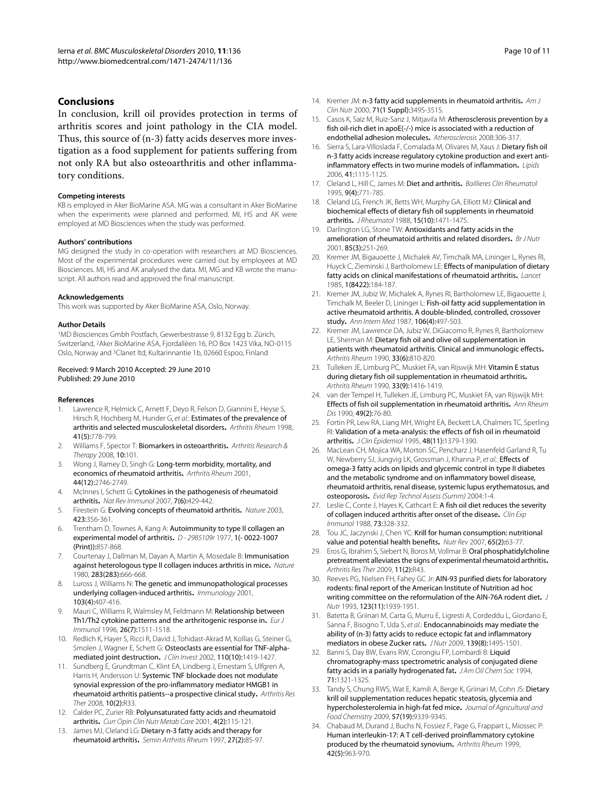## **Conclusions**

In conclusion, krill oil provides protection in terms of arthritis scores and joint pathology in the CIA model. Thus, this source of (n-3) fatty acids deserves more investigation as a food supplement for patients suffering from not only RA but also osteoarthritis and other inflammatory conditions.

#### **Competing interests**

KB is employed in Aker BioMarine ASA. MG was a consultant in Aker BioMarine when the experiments were planned and performed. MI, HS and AK were employed at MD Biosciences when the study was performed.

#### **Authors' contributions**

MG designed the study in co-operation with researchers at MD Biosciences. Most of the experimental procedures were carried out by employees at MD Biosciences. MI, HS and AK analysed the data. MI, MG and KB wrote the manuscript. All authors read and approved the final manuscript.

#### **Acknowledgements**

This work was supported by Aker BioMarine ASA, Oslo, Norway.

#### **Author Details**

1MD Biosciences Gmbh Postfach, Gewerbestrasse 9, 8132 Egg b. Zürich, Switzerland, 2Aker BioMarine ASA, Fjordallèen 16, P.O Box 1423 Vika, NO-0115 Oslo, Norway and 3Clanet ltd, Kultarinnantie 1b, 02660 Espoo, Finland

#### Received: 9 March 2010 Accepted: 29 June 2010 Published: 29 June 2010

#### **References**

- <span id="page-9-0"></span>Lawrence R, Helmick C, Arnett F, Deyo R, Felson D, Giannini E, Heyse S, Hirsch R, Hochberg M, Hunder G, et al.: Estimates of the prevalence of arthritis and selected musculoskeletal disorders**.** Arthritis Rheum 1998, 41(5):778-799.
- <span id="page-9-1"></span>2. Williams F, Spector T: Biomarkers in osteoarthritis**[.](http://www.ncbi.nlm.nih.gov/entrez/query.fcgi?cmd=Retrieve&db=PubMed&dopt=Abstract&list_uids=18226182)** Arthritis Research & Therapy 2008, 10:101.
- <span id="page-9-2"></span>3. Wong J, Ramey D, Singh G: Long-term morbidity, mortality, and economics of rheumatoid arthritis**.** Arthritis Rheum 2001, 44(12):2746-2749.
- <span id="page-9-3"></span>4. McInnes I, Schett G: Cytokines in the pathogenesis of rheumatoid arthritis**.** Nat Rev Immunol 2007, 7(6):429-442.
- <span id="page-9-4"></span>5. Firestein G: Evolving concepts of rheumatoid arthritis**.** Nature 2003, 423:356-361.
- <span id="page-9-5"></span>6. Trentham D, Townes A, Kang A: Autoimmunity to type II collagen an experimental model of arthritis**.** D - 2985109r 1977, 1(- 0022-1007 (Print)):857-868.
- <span id="page-9-6"></span>Courtenay J, Dallman M, Dayan A, Martin A, Mosedale B: Immunisation against heterologous type II collagen induces arthritis in mice**.** Nature 1980, 283(283):666-668.
- <span id="page-9-7"></span>8. Luross J, Williams N: The genetic and immunopathological processes underlying collagen-induced arthritis**.** Immunology 2001, 103(4):407-416.
- <span id="page-9-8"></span>9. Mauri C, Williams R, Walmsley M, Feldmann M: Relationship between Th1/Th2 cytokine patterns and the arthritogenic response in**.** Eur J Immunol 1996, 26(7):1511-1518.
- <span id="page-9-9"></span>10. Redlich K, Hayer S, Ricci R, David J, Tohidast-Akrad M, Kollias G, Steiner G, Smolen J, Wagner E, Schett G: Osteoclasts are essential for TNF-alphamediated joint destruction. *JClin Invest 2002*, 110(10):1419-1427.
- <span id="page-9-10"></span>11. Sundberg E, Grundtman C, Klint EA, Lindberg J, Ernestam S, Ulfgren A, Harris H, Andersson U: Systemic TNF blockade does not modulate synovial expression of the pro-inflammatory mediator HMGB1 in rheumatoid arthritis patients--a prospective clinical study**.** Arthritis Res Ther 2008, 10(2):R33.
- <span id="page-9-11"></span>12. Calder PC, Zurier RB: Polyunsaturated fatty acids and rheumatoid arthritis**.** Curr Opin Clin Nutr Metab Care 2001, 4(2):115-121.
- 13. James MJ, Cleland LG: Dietary n-3 fatty acids and therapy for rheumatoid arthritis**[.](http://www.ncbi.nlm.nih.gov/entrez/query.fcgi?cmd=Retrieve&db=PubMed&dopt=Abstract&list_uids=9355207)** Semin Arthritis Rheum 1997, 27(2):85-97.
- <span id="page-9-12"></span>14. Kremer JM: n-3 fatty acid supplements in rheumatoid arthritis**.** Am J Clin Nutr 2000, 71(1 Suppl):349S-351S.
- <span id="page-9-13"></span>15. Casos K, Saiz M, Ruiz-Sanz J, Mitjavila M: Atherosclerosis prevention by a fish oil-rich diet in apoE(-/-) mice is associated with a reduction of endothelial adhesion molecules**.** Atherosclerosis 2008:306-317.
- <span id="page-9-14"></span>16. Sierra S, Lara-Villoslada F, Comalada M, Olivares M, Xaus J: Dietary fish oil n-3 fatty acids increase regulatory cytokine production and exert antiinflammatory effects in two murine models of inflammation**.** Lipids 2006, 41:1115-1125.
- <span id="page-9-15"></span>17. Cleland L, Hill C, James M: Diet and arthritis**.** Baillieres Clin Rheumatol 1995, 9(4):771-785.
- 18. Cleland LG, French JK, Betts WH, Murphy GA, Elliott MJ: Clinical and biochemical effects of dietary fish oil supplements in rheumatoid arthritis**.** J Rheumatol 1988, 15(10):1471-1475.
- 19. Darlington LG, Stone TW: Antioxidants and fatty acids in the amelioration of rheumatoid arthritis and related disorders**.** Br J Nutr 2001, 85(3):251-269.
- 20. Kremer JM, Bigauoette J, Michalek AV, Timchalk MA, Lininger L, Rynes RI, Huyck C, Zieminski J, Bartholomew LE: Effects of manipulation of dietary fatty acids on clinical manifestations of rheumatoid arthritis**[.](http://www.ncbi.nlm.nih.gov/entrez/query.fcgi?cmd=Retrieve&db=PubMed&dopt=Abstract&list_uids=2857265)** Lancet 1985, 1(8422):184-187.
- 21. Kremer JM, Jubiz W, Michalek A, Rynes RI, Bartholomew LE, Bigaouette J, Timchalk M, Beeler D, Lininger L: Fish-oil fatty acid supplementation in active rheumatoid arthritis. A double-blinded, controlled, crossover study**.** Ann Intern Med 1987, 106(4):497-503.
- 22. Kremer JM, Lawrence DA, Jubiz W, DiGiacomo R, Rynes R, Bartholomew LE, Sherman M: Dietary fish oil and olive oil supplementation in patients with rheumatoid arthritis. Clinical and immunologic effects**.** Arthritis Rheum 1990, 33(6):810-820.
- 23. Tulleken JE, Limburg PC, Muskiet FA, van Rijswijk MH: Vitamin E status during dietary fish oil supplementation in rheumatoid arthritis**[.](http://www.ncbi.nlm.nih.gov/entrez/query.fcgi?cmd=Retrieve&db=PubMed&dopt=Abstract&list_uids=2206140)** Arthritis Rheum 1990, 33(9):1416-1419.
- <span id="page-9-16"></span>24. van der Tempel H, Tulleken JE, Limburg PC, Muskiet FA, van Rijswijk MH: Effects of fish oil supplementation in rheumatoid arthritis**[.](http://www.ncbi.nlm.nih.gov/entrez/query.fcgi?cmd=Retrieve&db=PubMed&dopt=Abstract&list_uids=2138449)** Ann Rheum Dis 1990, 49(2):76-80.
- <span id="page-9-17"></span>25. Fortin PR, Lew RA, Liang MH, Wright EA, Beckett LA, Chalmers TC, Sperling RI: Validation of a meta-analysis: the effects of fish oil in rheumatoid arthritis**.** J Clin Epidemiol 1995, 48(11):1379-1390.
- <span id="page-9-18"></span>26. MacLean CH, Mojica WA, Morton SC, Pencharz J, Hasenfeld Garland R, Tu W, Newberry SJ, Jungvig LK, Grossman J, Khanna P, et al.: Effects of omega-3 fatty acids on lipids and glycemic control in type II diabetes and the metabolic syndrome and on inflammatory bowel disease, rheumatoid arthritis, renal disease, systemic lupus erythematosus, and osteoporosis**.** Evid Rep Technol Assess (Summ) 2004:1-4.
- <span id="page-9-19"></span>27. Leslie C, Conte J, Hayes K, Cathcart E: A fish oil diet reduces the severity of collagen induced arthritis after onset of the disease**.** Clin Exp Immunol 1988, 73:328-332.
- <span id="page-9-20"></span>28. Tou JC, Jaczynski J, Chen YC: Krill for human consumption: nutritional value and potential health benefits**[.](http://www.ncbi.nlm.nih.gov/entrez/query.fcgi?cmd=Retrieve&db=PubMed&dopt=Abstract&list_uids=17345959)** Nutr Rev 2007, 65(2):63-77.
- <span id="page-9-21"></span>29. Eros G, Ibrahim S, Siebert N, Boros M, Vollmar B: Oral phosphatidylcholine pretreatment alleviates the signs of experimental rheumatoid arthritis**.** Arthritis Res Ther 2009, 11(2):R43.
- <span id="page-9-22"></span>30. Reeves PG, Nielsen FH, Fahey GC Jr: AIN-93 purified diets for laboratory rodents: final report of the American Institute of Nutrition ad hoc writing committee on the reformulation of the AIN-76A rodent diet**.** J Nutr 1993, 123(11):1939-1951.
- <span id="page-9-23"></span>31. Batetta B, Griinari M, Carta G, Murru E, Ligresti A, Cordeddu L, Giordano E, Sanna F, Bisogno T, Uda S, et al.: Endocannabinoids may mediate the ability of (n-3) fatty acids to reduce ectopic fat and inflammatory mediators in obese Zucker rats**.** J Nutr 2009, 139(8):1495-1501.
- <span id="page-9-24"></span>32. Banni S, Day BW, Evans RW, Corongiu FP, Lombardi B: Liquid chromatography-mass spectrometric analysis of conjugated diene fatty acids in a parially hydrogenated fat**.** J Am Oil Chem Soc 1994, 71:1321-1325.
- <span id="page-9-25"></span>33. Tandy S, Chung RWS, Wat E, Kamili A, Berge K, Griinari M, Cohn JS: Dietary krill oil supplementation reduces hepatic steatosis, glycemia and hypercholesterolemia in high-fat fed mice**.** Journal of Agricultural and Food Chemistry 2009, 57(19):9339-9345.
- <span id="page-9-26"></span>34. Chabaud M, Durand J, Buchs N, Fossiez F, Page G, Frappart L, Miossec P: Human interleukin-17: A T cell-derived proinflammatory cytokine produced by the rheumatoid synovium**.** Arthritis Rheum 1999, 42(5):963-970.